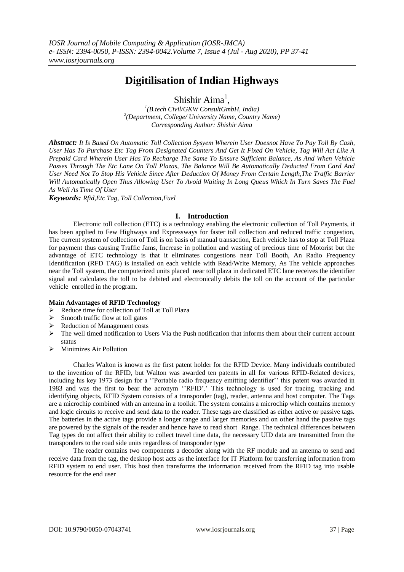# **Digitilisation of Indian Highways**

Shishir Aima<sup>1</sup>,

*1 (B.tech Civil/GKW ConsultGmbH, India) 2 (Department, College/ University Name, Country Name) Corresponding Author: Shishir Aima*

*Abstract: It Is Based On Automatic Toll Collection Sysyem Wherein User Doesnot Have To Pay Toll By Cash, User Has To Purchase Etc Tag From Designated Counters And Get It Fixed On Vehicle, Tag Will Act Like A Prepaid Card Wherein User Has To Recharge The Same To Ensure Sufficient Balance, As And When Vehicle Passes Through The Etc Lane On Toll Plazas, The Balance Will Be Automatically Deducted From Card And User Need Not To Stop His Vehicle Since After Deduction Of Money From Certain Length,The Traffic Barrier Will Automatically Open Thus Allowing User To Avoid Waiting In Long Queus Which In Turn Saves The Fuel As Well As Time Of User*

*Keywords: Rfid,Etc Tag, Toll Collection,Fuel*

# **I. Introduction**

Electronic toll collection (ETC) is a technology enabling the electronic collection of Toll Payments, it has been applied to Few Highways and Expressways for faster toll collection and reduced traffic congestion, The current system of collection of Toll is on basis of manual transaction, Each vehicle has to stop at Toll Plaza for payment thus causing Traffic Jams, Increase in pollution and wasting of precious time of Motorist but the advantage of ETC technology is that it eliminates congestions near Toll Booth, An Radio Frequency Identification (RFD TAG) is installed on each vehicle with Read/Write Memory, As The vehicle approaches near the Toll system, the computerized units placed near toll plaza in dedicated ETC lane receives the identifier signal and calculates the toll to be debited and electronically debits the toll on the account of the particular vehicle enrolled in the program.

#### **Main Advantages of RFID Technology**

- Reduce time for collection of Toll at Toll Plaza
- $\triangleright$  Smooth traffic flow at toll gates
- $\triangleright$  Reduction of Management costs
- $\triangleright$  The well timed notification to Users Via the Push notification that informs them about their current account status
- $\triangleright$  Minimizes Air Pollution

Charles Walton is known as the first patent holder for the RFID Device. Many individuals contributed to the invention of the RFID, but Walton was awarded ten patents in all for various RFID-Related devices, including his key 1973 design for a ''Portable radio frequency emitting identifier'' this patent was awarded in 1983 and was the first to bear the acronym ''RFID'.' This technology is used for tracing, tracking and identifying objects, RFID System consists of a transponder (tag), reader, antenna and host computer. The Tags are a microchip combined with an antenna in a toolkit. The system contains a microchip which contains memory and logic circuits to receive and send data to the reader. These tags are classified as either active or passive tags. The batteries in the active tags provide a longer range and larger memories and on other hand the passive tags are powered by the signals of the reader and hence have to read short Range. The technical differences between Tag types do not affect their ability to collect travel time data, the necessary UID data are transmitted from the transponders to the road side units regardless of transponder type

The reader contains two components a decoder along with the RF module and an antenna to send and receive data from the tag, the desktop host acts as the interface for IT Platform for transferring information from RFID system to end user. This host then transforms the information received from the RFID tag into usable resource for the end user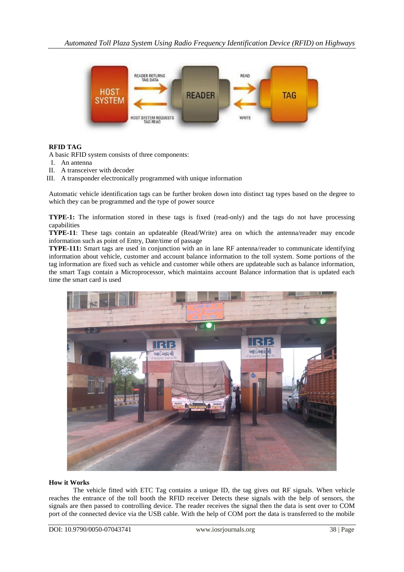

# **RFID TAG**

A basic RFID system consists of three components:

- I. An antenna
- II. A transceiver with decoder
- III. A transponder electronically programmed with unique information

Automatic vehicle identification tags can be further broken down into distinct tag types based on the degree to which they can be programmed and the type of power source

**TYPE-1:** The information stored in these tags is fixed (read-only) and the tags do not have processing capabilities

**TYPE-11**: These tags contain an updateable (Read/Write) area on which the antenna/reader may encode information such as point of Entry, Date/time of passage

**TYPE-111:** Smart tags are used in conjunction with an in lane RF antenna/reader to communicate identifying information about vehicle, customer and account balance information to the toll system. Some portions of the tag information are fixed such as vehicle and customer while others are updateable such as balance information, the smart Tags contain a Microprocessor, which maintains account Balance information that is updated each time the smart card is used



#### **How it Works**

The vehicle fitted with ETC Tag contains a unique ID, the tag gives out RF signals. When vehicle reaches the entrance of the toll booth the RFID receiver Detects these signals with the help of sensors, the signals are then passed to controlling device. The reader receives the signal then the data is sent over to COM port of the connected device via the USB cable. With the help of COM port the data is transferred to the mobile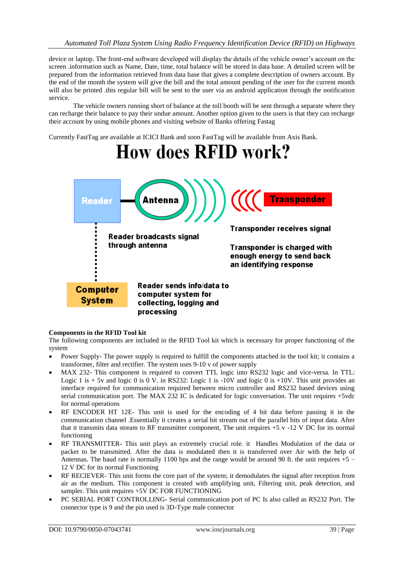device or laptop. The front-end software developed will display the details of the vehicle owner's account on the screen .information such as Name, Date, time, total balance will be stored in data base. A detailed screen will be prepared from the information retrieved from data base that gives a complete description of owners account. By the end of the month the system will give the bill and the total amount pending of the user for the current month will also be printed .this regular bill will be sent to the user via an android application through the notification service.

The vehicle owners running short of balance at the toll booth will be sent through a separate where they can recharge their balance to pay their undue amount. Another option given to the users is that they can recharge their account by using mobile phones and visiting website of Banks offering Fastag

Currently FastTag are available at ICICI Bank and soon FastTag will be available from Axis Bank.



#### **Components in the RFID Tool kit**

The following components are included in the RFID Tool kit which is necessary for proper functioning of the system

- Power Supply- The power supply is required to fulfill the components attached in the tool kit; it contains a transformer, filter and rectifier. The system uses 9-10 v of power supply
- MAX 232- This component is required to convert TTL logic into RS232 logic and vice-versa. In TTL: Logic 1 is  $+ 5v$  and logic 0 is 0 V. in RS232: Logic 1 is -10V and logic 0 is  $+10V$ . This unit provides an interface required for communication required between micro controller and RS232 based devices using serial communication port. The MAX 232 IC is dedicated for logic conversation. The unit requires +5vdc for normal operations
- RF ENCODER HT 12E- This unit is used for the encoding of 4 bit data before passing it in the communication channel .Essentially it creates a serial bit stream out of the parallel bits of input data. After that it transmits data stream to RF transmitter component, The unit requires  $+5$  v  $-12$  V DC for its normal functioning
- RF TRANSMITTER- This unit plays an extremely crucial role. it Handles Modulation of the data or packet to be transmitted. After the data is modulated then it is transferred over Air with the help of Antennas. The baud rate is normally 1100 bps and the range would be around 90 ft. the unit requires  $+5$  – 12 V DC for its normal Functioning
- RF RECIEVER- This unit forms the core part of the system; it demodulates the signal after reception from air as the medium. This component is created with amplifying unit, Filtering unit, peak detection, and sampler. This unit requires +5V DC FOR FUNCTIONING
- PC SERIAL PORT CONTROLLING- Serial communication port of PC Is also called as RS232 Port. The connector type is 9 and the pin used is 3D-Type male connector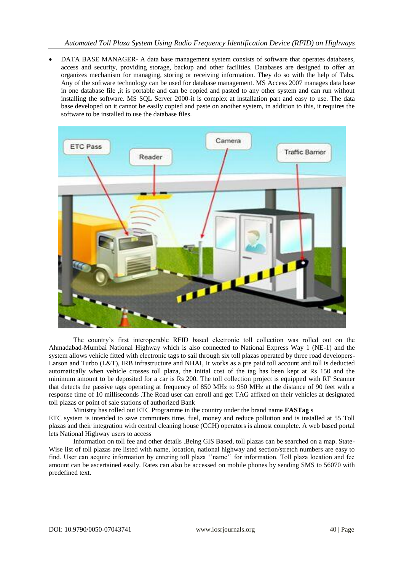DATA BASE MANAGER- A data base management system consists of software that operates databases, access and security, providing storage, backup and other facilities. Databases are designed to offer an organizes mechanism for managing, storing or receiving information. They do so with the help of Tabs. Any of the software technology can be used for database management. MS Access 2007 manages data base in one database file ,it is portable and can be copied and pasted to any other system and can run without installing the software. MS SQL Server 2000-it is complex at installation part and easy to use. The data base developed on it cannot be easily copied and paste on another system, in addition to this, it requires the software to be installed to use the database files.



The country's first interoperable RFID based electronic toll collection was rolled out on the Ahmadabad-Mumbai National Highway which is also connected to National Express Way 1 (NE-1) and the system allows vehicle fitted with electronic tags to sail through six toll plazas operated by three road developers-Larson and Turbo (L&T), IRB infrastructure and NHAI, It works as a pre paid toll account and toll is deducted automatically when vehicle crosses toll plaza, the initial cost of the tag has been kept at Rs 150 and the minimum amount to be deposited for a car is Rs 200. The toll collection project is equipped with RF Scanner that detects the passive tags operating at frequency of 850 MHz to 950 MHz at the distance of 90 feet with a response time of 10 milliseconds .The Road user can enroll and get TAG affixed on their vehicles at designated toll plazas or point of sale stations of authorized Bank

Ministry has rolled out ETC Programme in the country under the brand name **FASTag** s ETC system is intended to save commuters time, fuel, money and reduce pollution and is installed at 55 Toll plazas and their integration with central cleaning house (CCH) operators is almost complete. A web based portal lets National Highway users to access

Information on toll fee and other details .Being GIS Based, toll plazas can be searched on a map. State-Wise list of toll plazas are listed with name, location, national highway and section/stretch numbers are easy to find. User can acquire information by entering toll plaza ''name'' for information. Toll plaza location and fee amount can be ascertained easily. Rates can also be accessed on mobile phones by sending SMS to 56070 with predefined text.